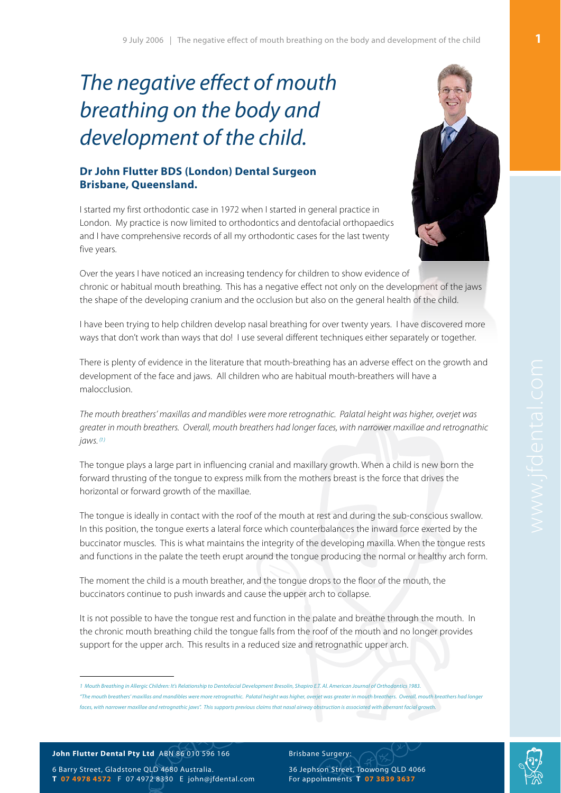# The negative effect of mouth breathing on the body and development of the child.

## **Dr John Flutter BDS (London) Dental Surgeon Brisbane, Queensland.**

I started my first orthodontic case in 1972 when I started in general practice in London. My practice is now limited to orthodontics and dentofacial orthopaedics and I have comprehensive records of all my orthodontic cases for the last twenty five years.



Over the years I have noticed an increasing tendency for children to show evidence of chronic or habitual mouth breathing. This has a negative effect not only on the development of the jaws the shape of the developing cranium and the occlusion but also on the general health of the child.

I have been trying to help children develop nasal breathing for over twenty years. I have discovered more ways that don't work than ways that do! I use several different techniques either separately or together.

There is plenty of evidence in the literature that mouth-breathing has an adverse effect on the growth and development of the face and jaws. All children who are habitual mouth-breathers will have a malocclusion.

The mouth breathers' maxillas and mandibles were more retrognathic. Palatal height was higher, overjet was greater in mouth breathers. Overall, mouth breathers had longer faces, with narrower maxillae and retrognathic  $i$ aws.  $(1)$  $(1)$ 

The tongue plays a large part in influencing cranial and maxillary growth. When a child is new born the forward thrusting of the tongue to express milk from the mothers breast is the force that drives the horizontal or forward growth of the maxillae.

The tongue is ideally in contact with the roof of the mouth at rest and during the sub-conscious swallow. In this position, the tongue exerts a lateral force which counterbalances the inward force exerted by the buccinator muscles. This is what maintains the integrity of the developing maxilla. When the tongue rests and functions in the palate the teeth erupt around the tongue producing the normal or healthy arch form.

The moment the child is a mouth breather, and the tongue drops to the floor of the mouth, the buccinators continue to push inwards and cause the upper arch to collapse.

It is not possible to have the tongue rest and function in the palate and breathe through the mouth. In the chronic mouth breathing child the tongue falls from the roof of the mouth and no longer provides support for the upper arch. This results in a reduced size and retrognathic upper arch.

### **John Flutter Dental Pty Ltd** ABN 86 010 596 166

6 Barry Street, Gladstone QLD 4680 Australia. **T 07 4978 4572** F 07 4972 8330 E [john@jfdental.com](mailto:john@jfdental.com) Brisbane Surgery:

<span id="page-0-0"></span><sup>1</sup> Mouth Breathing in Allergic Children: It's Relationship to Dentofacial Development Bresolin, Shapiro E.T. Al. American Journal of Orthodontics 1983. "The mouth breathers' maxillas and mandibles were more retrognathic. Palatal height was higher, overiet was greater in mouth breathers. Overall, mouth breathers had longer faces, with narrower maxillae and retrognathic jaws". This supports previous claims that nasal airway obstruction is associated with aberrant facial growth.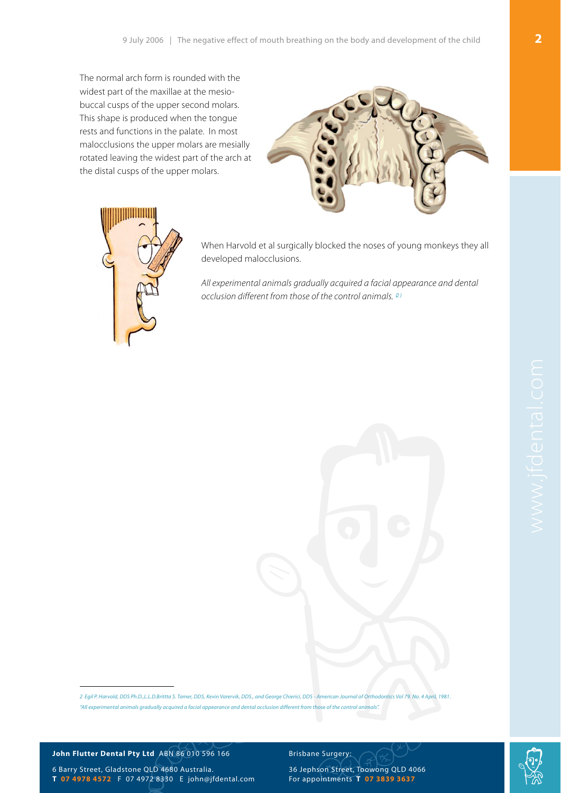The normal arch form is rounded with the widest part of the maxillae at the mesiobuccal cusps of the upper second molars. This shape is produced when the tongue rests and functions in the palate. In most malocclusions the upper molars are mesially rotated leaving the widest part of the arch at the distal cusps of the upper molars.





When Harvold et al surgically blocked the noses of young monkeys they all developed malocclusions.

All experimental animals gradually acquired a facial appearance and dental occlusion different from those of the control animals.  $(2)$  $(2)$ 

<span id="page-1-0"></span>2 Egil P. Harvold, DDS Ph.D.,L.L.D.Brittta S. Tamer, DDS, Kevin Varervik, DDS., and George Chierici, DDS - American Journal of Orthodontics Vol 79. No. 4 April, 1981. "All experimental animals gradually acquired a facial appearance and dental occlusion different from those of the control animals".

#### **John Flutter Dental Pty Ltd** ABN 86 010 596 166

6 Barry Street, Gladstone QLD 4680 Australia. **T 07 4978 4572** F 07 4972 8330 E [john@jfdental.com](mailto:john@jfdental.com)

#### Brisbane Surgery:

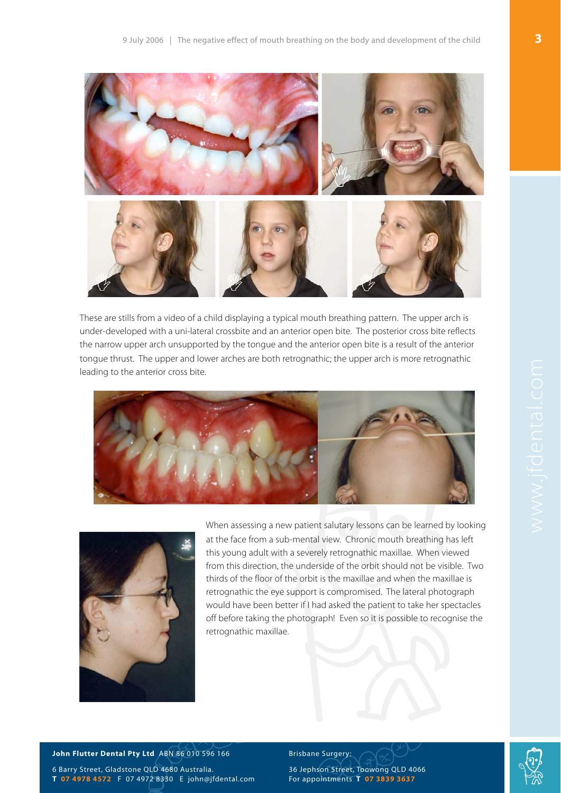



These are stills from a video of a child displaying a typical mouth breathing pattern. The upper arch is under-developed with a uni-lateral crossbite and an anterior open bite. The posterior cross bite reflects the narrow upper arch unsupported by the tongue and the anterior open bite is a result of the anterior tongue thrust. The upper and lower arches are both retrognathic; the upper arch is more retrognathic leading to the anterior cross bite.





When assessing a new patient salutary lessons can be learned by looking at the face from a sub-mental view. Chronic mouth breathing has left this young adult with a severely retrognathic maxillae. When viewed from this direction, the underside of the orbit should not be visible. Two thirds of the floor of the orbit is the maxillae and when the maxillae is retrognathic the eye support is compromised. The lateral photograph would have been better if I had asked the patient to take her spectacles off before taking the photograph! Even so it is possible to recognise the retrognathic maxillae.

#### **John Flutter Dental Pty Ltd** ABN 86 010 596 166

6 Barry Street, Gladstone QLD 4680 Australia. **T 07 4978 4572** F 07 4972 8330 E [john@jfdental.com](mailto:john@jfdental.com) Brisbane Surgery:

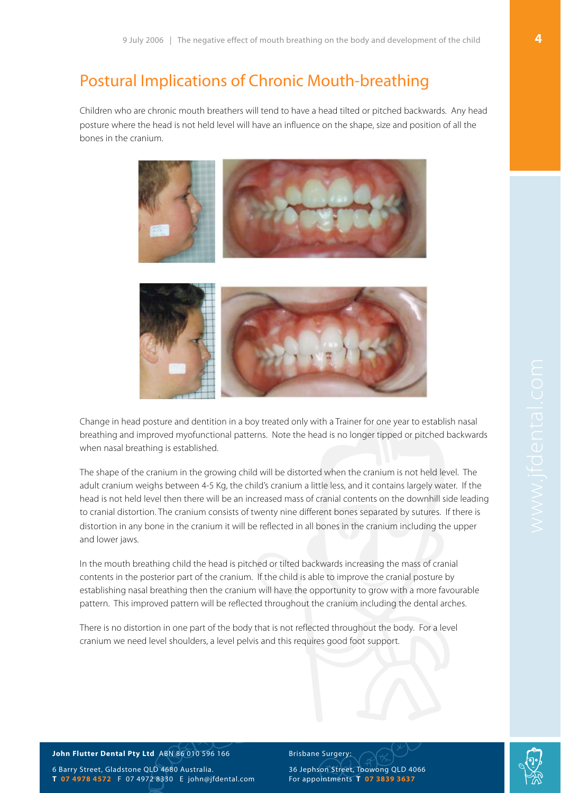## Postural Implications of Chronic Mouth-breathing

Children who are chronic mouth breathers will tend to have a head tilted or pitched backwards. Any head posture where the head is not held level will have an influence on the shape, size and position of all the bones in the cranium.



Change in head posture and dentition in a boy treated only with a Trainer for one year to establish nasal breathing and improved myofunctional patterns. Note the head is no longer tipped or pitched backwards when nasal breathing is established.

The shape of the cranium in the growing child will be distorted when the cranium is not held level. The adult cranium weighs between 4-5 Kg, the child's cranium a little less, and it contains largely water. If the head is not held level then there will be an increased mass of cranial contents on the downhill side leading to cranial distortion. The cranium consists of twenty nine different bones separated by sutures. If there is distortion in any bone in the cranium it will be reflected in all bones in the cranium including the upper and lower jaws.

In the mouth breathing child the head is pitched or tilted backwards increasing the mass of cranial contents in the posterior part of the cranium. If the child is able to improve the cranial posture by establishing nasal breathing then the cranium will have the opportunity to grow with a more favourable pattern. This improved pattern will be reflected throughout the cranium including the dental arches.

There is no distortion in one part of the body that is not reflected throughout the body. For a level cranium we need level shoulders, a level pelvis and this requires good foot support.

#### **John Flutter Dental Pty Ltd** ABN 86 010 596 166

6 Barry Street, Gladstone QLD 4680 Australia. **T 07 4978 4572** F 07 4972 8330 E [john@jfdental.com](mailto:john@jfdental.com) Brisbane Surgery:

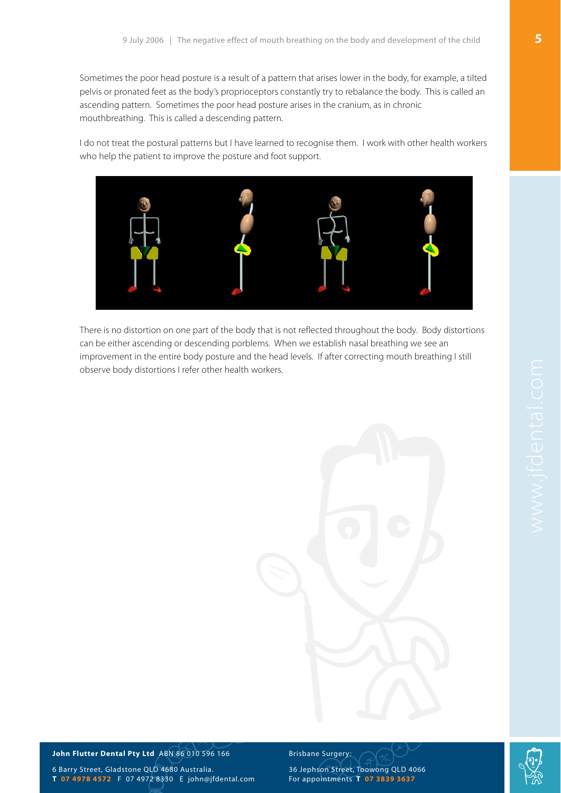Sometimes the poor head posture is a result of a pattern that arises lower in the body, for example, a tilted pelvis or pronated feet as the body's proprioceptors constantly try to rebalance the body. This is called an ascending pattern. Sometimes the poor head posture arises in the cranium, as in chronic mouthbreathing. This is called a descending pattern.

I do not treat the postural patterns but I have learned to recognise them. I work with other health workers who help the patient to improve the posture and foot support.



There is no distortion on one part of the body that is not reflected throughout the body. Body distortions can be either ascending or descending porblems. When we establish nasal breathing we see an improvement in the entire body posture and the head levels. If after correcting mouth breathing I still observe body distortions I refer other health workers.



#### **John Flutter Dental Pty Ltd** ABN 86 010 596 166

6 Barry Street, Gladstone QLD 4680 Australia. **T 07 4978 4572** F 07 4972 8330 E [john@jfdental.com](mailto:john@jfdental.com) Brisbane Surgery: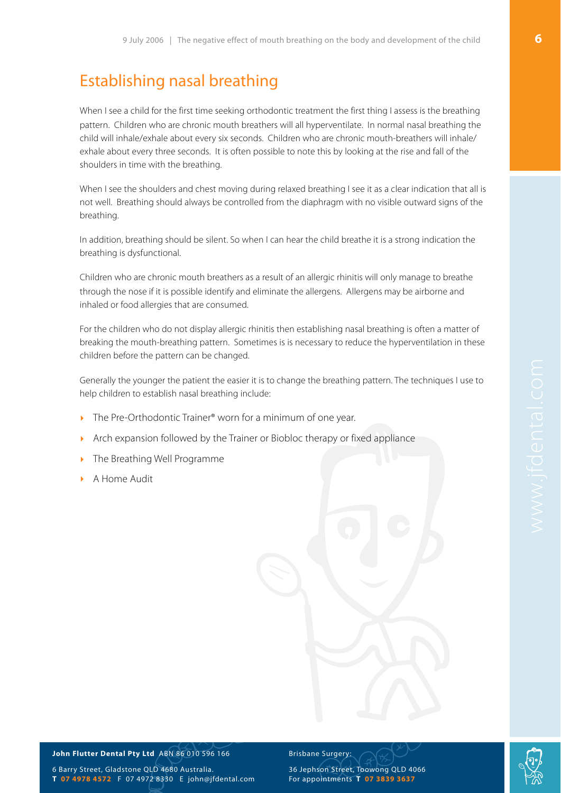## Establishing nasal breathing

When I see a child for the first time seeking orthodontic treatment the first thing I assess is the breathing pattern. Children who are chronic mouth breathers will all hyperventilate. In normal nasal breathing the child will inhale/exhale about every six seconds. Children who are chronic mouth-breathers will inhale/ exhale about every three seconds. It is often possible to note this by looking at the rise and fall of the shoulders in time with the breathing.

When I see the shoulders and chest moving during relaxed breathing I see it as a clear indication that all is not well. Breathing should always be controlled from the diaphragm with no visible outward signs of the breathing.

In addition, breathing should be silent. So when I can hear the child breathe it is a strong indication the breathing is dysfunctional.

Children who are chronic mouth breathers as a result of an allergic rhinitis will only manage to breathe through the nose if it is possible identify and eliminate the allergens. Allergens may be airborne and inhaled or food allergies that are consumed.

For the children who do not display allergic rhinitis then establishing nasal breathing is often a matter of breaking the mouth-breathing pattern. Sometimes is is necessary to reduce the hyperventilation in these children before the pattern can be changed.

Generally the younger the patient the easier it is to change the breathing pattern. The techniques I use to help children to establish nasal breathing include:

- The Pre-Orthodontic Trainer<sup>®</sup> worn for a minimum of one year.
- ‣ Arch expansion followed by the Trainer or Biobloc therapy or fixed appliance
- ‣ The Breathing Well Programme
- ‣ A Home Audit

**John Flutter Dental Pty Ltd** ABN 86 010 596 166

6 Barry Street, Gladstone QLD 4680 Australia. **T 07 4978 4572** F 07 4972 8330 E [john@jfdental.com](mailto:john@jfdental.com)

#### Brisbane Surgery: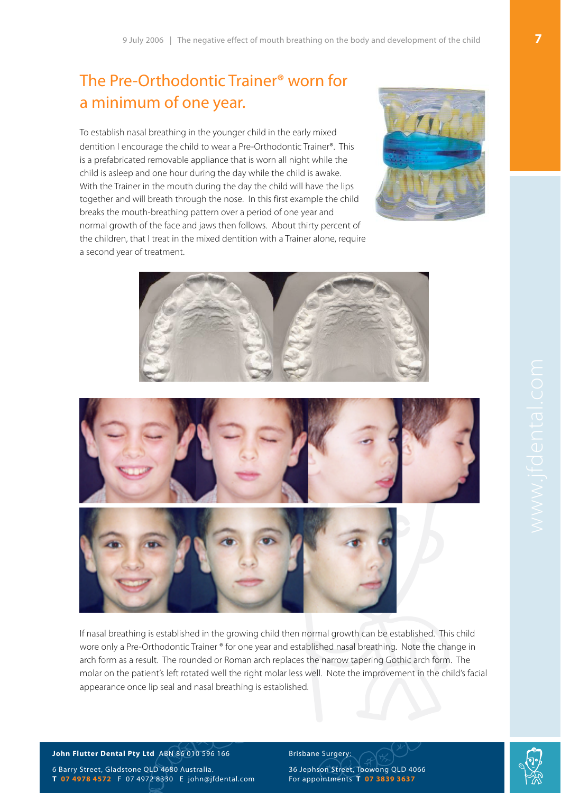## The Pre-Orthodontic Trainer® worn for a minimum of one year.

To establish nasal breathing in the younger child in the early mixed dentition I encourage the child to wear a Pre-Orthodontic Trainer®. This is a prefabricated removable appliance that is worn all night while the child is asleep and one hour during the day while the child is awake. With the Trainer in the mouth during the day the child will have the lips together and will breath through the nose. In this first example the child breaks the mouth-breathing pattern over a period of one year and normal growth of the face and jaws then follows. About thirty percent of the children, that I treat in the mixed dentition with a Trainer alone, require a second year of treatment.







If nasal breathing is established in the growing child then normal growth can be established. This child wore only a Pre-Orthodontic Trainer ® for one year and established nasal breathing. Note the change in arch form as a result. The rounded or Roman arch replaces the narrow tapering Gothic arch form. The molar on the patient's left rotated well the right molar less well. Note the improvement in the child's facial appearance once lip seal and nasal breathing is established.

#### **John Flutter Dental Pty Ltd** ABN 86 010 596 166

6 Barry Street, Gladstone QLD 4680 Australia. **T 07 4978 4572** F 07 4972 8330 E [john@jfdental.com](mailto:john@jfdental.com) Brisbane Surgery:

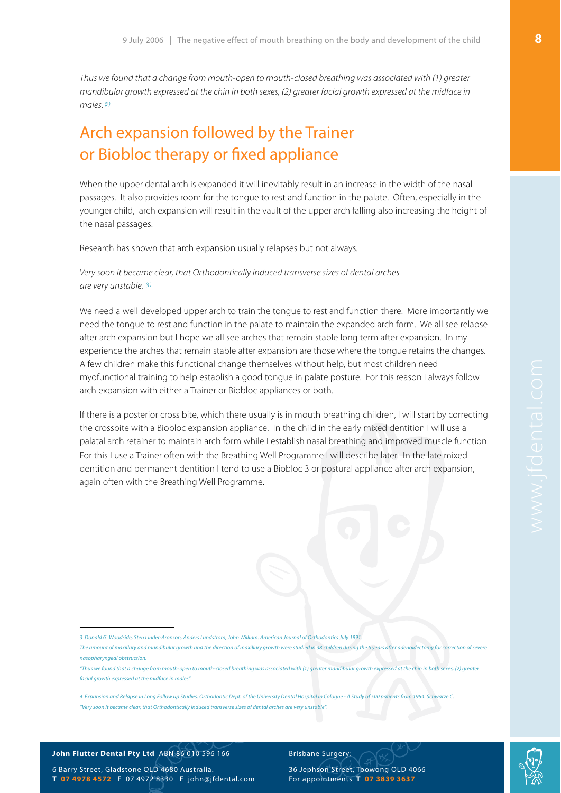Thus we found that a change from mouth-open to mouth-closed breathing was associated with (1) greater mandibular growth expressed at the chin in both sexes, (2) greater facial growth expressed at the midface in  $m$ ales  $\beta$ )

## Arch expansion followed by the Trainer or Biobloc therapy or fixed appliance

When the upper dental arch is expanded it will inevitably result in an increase in the width of the nasal passages. It also provides room for the tongue to rest and function in the palate. Often, especially in the younger child, arch expansion will result in the vault of the upper arch falling also increasing the height of the nasal passages.

Research has shown that arch expansion usually relapses but not always.

### Very soon it became clear, that Orthodontically induced transverse sizes of dental arches are very unstable. [\(4](#page-7-1))

We need a well developed upper arch to train the tongue to rest and function there. More importantly we need the tongue to rest and function in the palate to maintain the expanded arch form. We all see relapse after arch expansion but I hope we all see arches that remain stable long term after expansion. In my experience the arches that remain stable after expansion are those where the tongue retains the changes. A few children make this functional change themselves without help, but most children need myofunctional training to help establish a good tongue in palate posture. For this reason I always follow arch expansion with either a Trainer or Biobloc appliances or both.

If there is a posterior cross bite, which there usually is in mouth breathing children, I will start by correcting the crossbite with a Biobloc expansion appliance. In the child in the early mixed dentition I will use a palatal arch retainer to maintain arch form while I establish nasal breathing and improved muscle function. For this I use a Trainer often with the Breathing Well Programme I will describe later. In the late mixed dentition and permanent dentition I tend to use a Biobloc 3 or postural appliance after arch expansion, again often with the Breathing Well Programme.

#### **John Flutter Dental Pty Ltd** ABN 86 010 596 166

6 Barry Street, Gladstone QLD 4680 Australia. **T 07 4978 4572** F 07 4972 8330 E [john@jfdental.com](mailto:john@jfdental.com) Brisbane Surgery:



<span id="page-7-0"></span><sup>3</sup> Donald G. Woodside, Sten Linder-Aronson, Anders Lundstrom, John William. American Journal of Orthodontics July 1991.

The amount of maxillary and mandibular growth and the direction of maxillary growth were studied in 38 children during the 5 years after adenoidectomy for correction of severe nasopharyngeal obstruction.

<sup>&</sup>quot;Thus we found that a change from mouth-open to mouth-closed breathing was associated with (1) greater mandibular growth expressed at the chin in both sexes, (2) greater facial growth expressed at the midface in males".

<span id="page-7-1"></span><sup>4</sup> Expansion and Relapse in Long Follow up Studies. Orthodontic Dept. of the University Dental Hospital in Cologne - A Study of 500 patients from 1964. Schwarze C. "Very soon it became clear, that Orthodontically induced transverse sizes of dental arches are very unstable".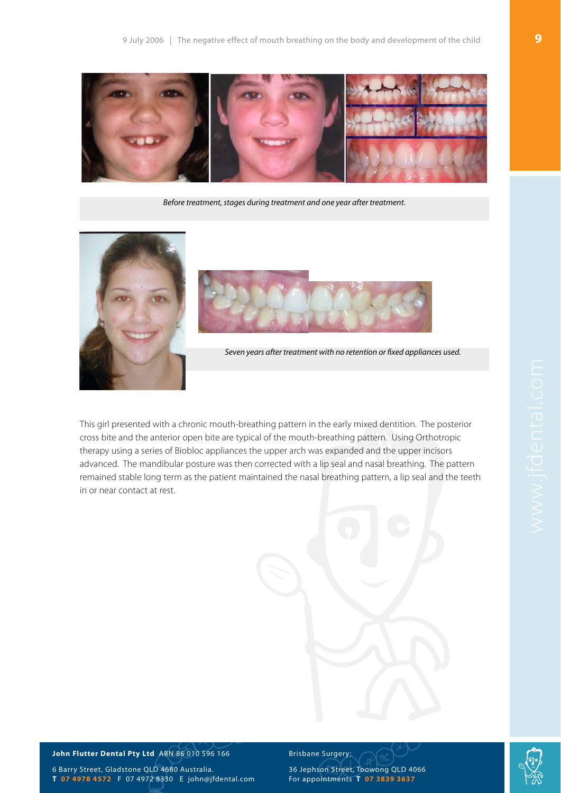

Before treatment, stages during treatment and one year after treatment.





Seven years after treatment with no retention or fixed appliances used.

This girl presented with a chronic mouth-breathing pattern in the early mixed dentition. The posterior cross bite and the anterior open bite are typical of the mouth-breathing pattern. Using Orthotropic therapy using a series of Biobloc appliances the upper arch was expanded and the upper incisors advanced. The mandibular posture was then corrected with a lip seal and nasal breathing. The pattern remained stable long term as the patient maintained the nasal breathing pattern, a lip seal and the teeth in or near contact at rest.

#### **John Flutter Dental Pty Ltd** ABN 86 010 596 166

6 Barry Street, Gladstone QLD 4680 Australia. **T 07 4978 4572** F 07 4972 8330 E [john@jfdental.com](mailto:john@jfdental.com)

#### Brisbane Surgery:

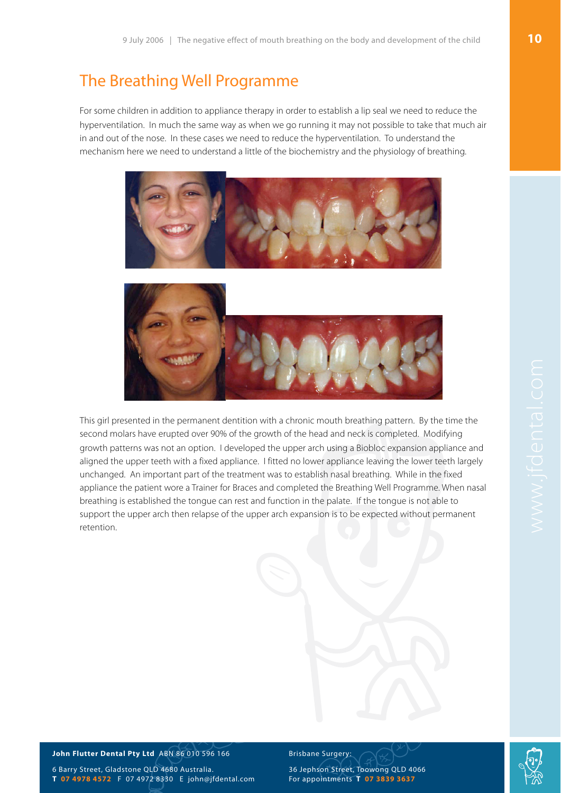## The Breathing Well Programme

For some children in addition to appliance therapy in order to establish a lip seal we need to reduce the hyperventilation. In much the same way as when we go running it may not possible to take that much air in and out of the nose. In these cases we need to reduce the hyperventilation. To understand the mechanism here we need to understand a little of the biochemistry and the physiology of breathing.





This girl presented in the permanent dentition with a chronic mouth breathing pattern. By the time the second molars have erupted over 90% of the growth of the head and neck is completed. Modifying growth patterns was not an option. I developed the upper arch using a Biobloc expansion appliance and aligned the upper teeth with a fixed appliance. I fitted no lower appliance leaving the lower teeth largely unchanged. An important part of the treatment was to establish nasal breathing. While in the fixed appliance the patient wore a Trainer for Braces and completed the Breathing Well Programme. When nasal breathing is established the tongue can rest and function in the palate. If the tongue is not able to support the upper arch then relapse of the upper arch expansion is to be expected without permanent retention.

#### **John Flutter Dental Pty Ltd** ABN 86 010 596 166

6 Barry Street, Gladstone QLD 4680 Australia. **T 07 4978 4572** F 07 4972 8330 E [john@jfdental.com](mailto:john@jfdental.com) Brisbane Surgery:

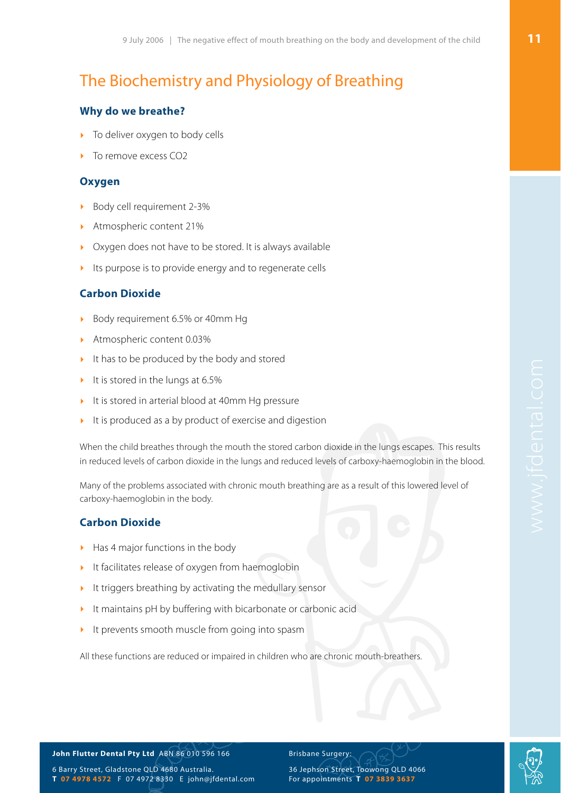## The Biochemistry and Physiology of Breathing

### **Why do we breathe?**

- To deliver oxygen to body cells
- To remove excess CO<sub>2</sub>

### **Oxygen**

- ‣ Body cell requirement 2-3%
- ‣ Atmospheric content 21%
- Oxygen does not have to be stored. It is always available
- Its purpose is to provide energy and to regenerate cells

### **Carbon Dioxide**

- ‣ Body requirement 6.5% or 40mm Hg
- ‣ Atmospheric content 0.03%
- It has to be produced by the body and stored
- It is stored in the lungs at 6.5%
- It is stored in arterial blood at 40mm Hg pressure
- $\blacktriangleright$  It is produced as a by product of exercise and digestion

When the child breathes through the mouth the stored carbon dioxide in the lungs escapes. This results in reduced levels of carbon dioxide in the lungs and reduced levels of carboxy-haemoglobin in the blood.

Many of the problems associated with chronic mouth breathing are as a result of this lowered level of carboxy-haemoglobin in the body.

### **Carbon Dioxide**

- ‣ Has 4 major functions in the body
- It facilitates release of oxygen from haemoglobin
- It triggers breathing by activating the medullary sensor
- It maintains pH by buffering with bicarbonate or carbonic acid
- It prevents smooth muscle from going into spasm

All these functions are reduced or impaired in children who are chronic mouth-breathers.

#### **John Flutter Dental Pty Ltd** ABN 86 010 596 166

6 Barry Street, Gladstone QLD 4680 Australia. **T 07 4978 4572** F 07 4972 8330 E [john@jfdental.com](mailto:john@jfdental.com) Brisbane Surgery:

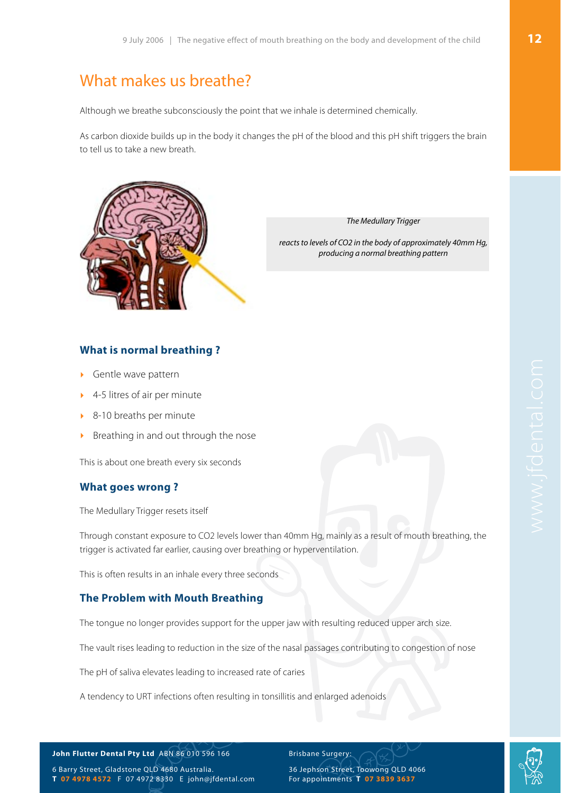## What makes us breathe?

Although we breathe subconsciously the point that we inhale is determined chemically.

As carbon dioxide builds up in the body it changes the pH of the blood and this pH shift triggers the brain to tell us to take a new breath.



The Medullary Trigger

reacts to levels of CO2 in the body of approximately 40mm Hg, producing a normal breathing pattern

### **What is normal breathing ?**

- Gentle wave pattern
- ‣ 4-5 litres of air per minute
- ‣ 8-10 breaths per minute
- ‣ Breathing in and out through the nose

This is about one breath every six seconds

### **What goes wrong ?**

The Medullary Trigger resets itself

Through constant exposure to CO2 levels lower than 40mm Hg, mainly as a result of mouth breathing, the trigger is activated far earlier, causing over breathing or hyperventilation.

This is often results in an inhale every three seconds

### **The Problem with Mouth Breathing**

The tongue no longer provides support for the upper jaw with resulting reduced upper arch size.

The vault rises leading to reduction in the size of the nasal passages contributing to congestion of nose

The pH of saliva elevates leading to increased rate of caries

A tendency to URT infections often resulting in tonsillitis and enlarged adenoids

**John Flutter Dental Pty Ltd** ABN 86 010 596 166

6 Barry Street, Gladstone QLD 4680 Australia. **T 07 4978 4572** F 07 4972 8330 E [john@jfdental.com](mailto:john@jfdental.com)

36 Jephson Street, Toowong QLD 4066 For appointments **T 07 3839 3637**

Brisbane Surgery:

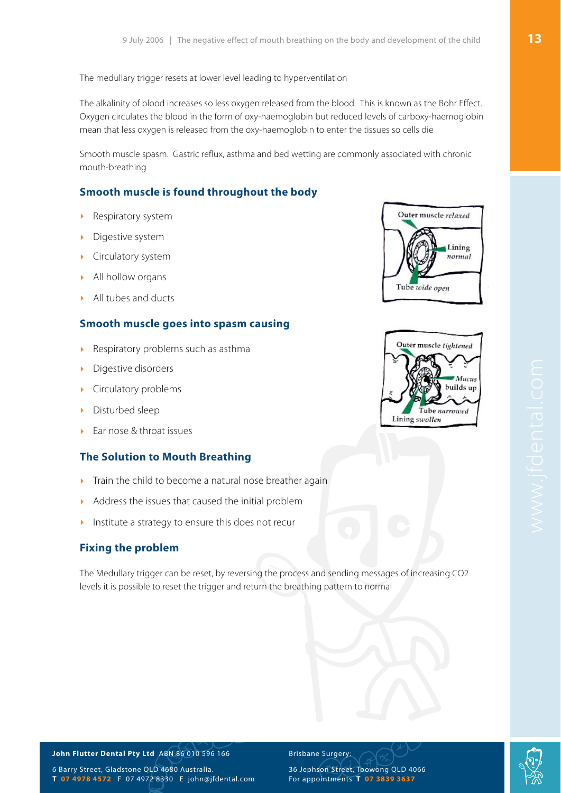The medullary trigger resets at lower level leading to hyperventilation

The alkalinity of blood increases so less oxygen released from the blood. This is known as the Bohr Effect. Oxygen circulates the blood in the form of oxy-haemoglobin but reduced levels of carboxy-haemoglobin mean that less oxygen is released from the oxy-haemoglobin to enter the tissues so cells die

Smooth muscle spasm. Gastric reflux, asthma and bed wetting are commonly associated with chronic mouth-breathing

### **Smooth muscle is found throughout the body**

- ‣ Respiratory system
- Digestive system
- ‣ Circulatory system
- All hollow organs
- ‣ All tubes and ducts

### **Smooth muscle goes into spasm causing**

- Respiratory problems such as asthma
- ‣ Digestive disorders
- ‣ Circulatory problems
- **•** Disturbed sleep
- Ear nose & throat issues

## **The Solution to Mouth Breathing**

- $\triangleright$  Train the child to become a natural nose breather again
- ‣ Address the issues that caused the initial problem
- Institute a strategy to ensure this does not recur

## **Fixing the problem**

The Medullary trigger can be reset, by reversing the process and sending messages of increasing CO2 levels it is possible to reset the trigger and return the breathing pattern to normal





### **John Flutter Dental Pty Ltd** ABN 86 010 596 166

6 Barry Street, Gladstone QLD 4680 Australia. **T 07 4978 4572** F 07 4972 8330 E [john@jfdental.com](mailto:john@jfdental.com) Brisbane Surgery:

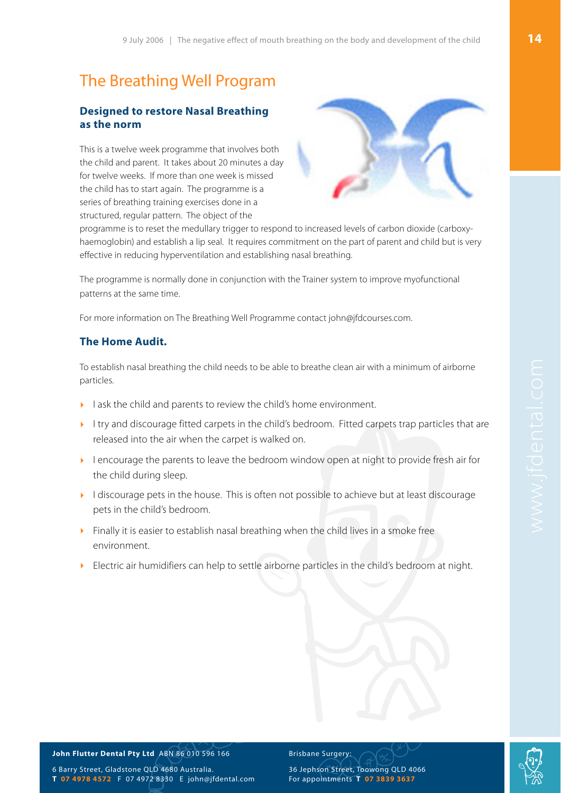## The Breathing Well Program

### **Designed to restore Nasal Breathing as the norm**

This is a twelve week programme that involves both the child and parent. It takes about 20 minutes a day for twelve weeks. If more than one week is missed the child has to start again. The programme is a series of breathing training exercises done in a structured, regular pattern. The object of the



programme is to reset the medullary trigger to respond to increased levels of carbon dioxide (carboxyhaemoglobin) and establish a lip seal. It requires commitment on the part of parent and child but is very effective in reducing hyperventilation and establishing nasal breathing.

The programme is normally done in conjunction with the Trainer system to improve myofunctional patterns at the same time.

For more information on The Breathing Well Programme contact [john@jfdcourses.com](mailto:john@jfdcourses.com).

### **The Home Audit.**

To establish nasal breathing the child needs to be able to breathe clean air with a minimum of airborne particles.

- I ask the child and parents to review the child's home environment.
- Itry and discourage fitted carpets in the child's bedroom. Fitted carpets trap particles that are released into the air when the carpet is walked on.
- ‣ I encourage the parents to leave the bedroom window open at night to provide fresh air for the child during sleep.
- I discourage pets in the house. This is often not possible to achieve but at least discourage pets in the child's bedroom.
- ‣ Finally it is easier to establish nasal breathing when the child lives in a smoke free environment.
- ‣ Electric air humidifiers can help to settle airborne particles in the child's bedroom at night.

#### **John Flutter Dental Pty Ltd** ABN 86 010 596 166

6 Barry Street, Gladstone QLD 4680 Australia. **T 07 4978 4572** F 07 4972 8330 E [john@jfdental.com](mailto:john@jfdental.com) Brisbane Surgery: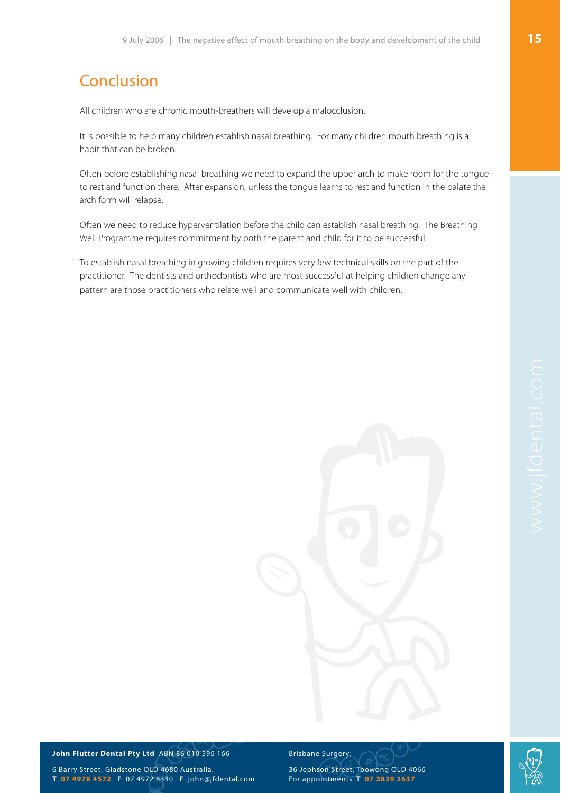## Conclusion

All children who are chronic mouth-breathers will develop a malocclusion.

It is possible to help many children establish nasal breathing. For many children mouth breathing is a habit that can be broken.

Often before establishing nasal breathing we need to expand the upper arch to make room for the tongue to rest and function there. After expansion, unless the tongue learns to rest and function in the palate the arch form will relapse.

Often we need to reduce hyperventilation before the child can establish nasal breathing. The Breathing Well Programme requires commitment by both the parent and child for it to be successful.

To establish nasal breathing in growing children requires very few technical skills on the part of the practitioner. The dentists and orthodontists who are most successful at helping children change any pattern are those practitioners who relate well and communicate well with children.

#### **John Flutter Dental Pty Ltd** ABN 86 010 596 166

6 Barry Street, Gladstone QLD 4680 Australia. **T 07 4978 4572** F 07 4972 8330 E [john@jfdental.com](mailto:john@jfdental.com) Brisbane Surgery:

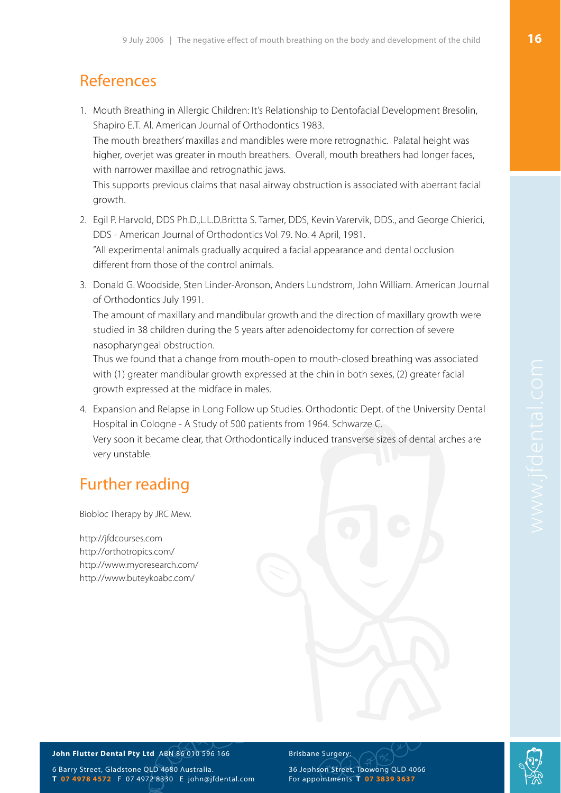## References

1. Mouth Breathing in Allergic Children: It's Relationship to Dentofacial Development Bresolin, Shapiro E.T. Al. American Journal of Orthodontics 1983. The mouth breathers' maxillas and mandibles were more retrognathic. Palatal height was higher, overjet was greater in mouth breathers. Overall, mouth breathers had longer faces, with narrower maxillae and retrognathic jaws. This supports previous claims that nasal airway obstruction is associated with aberrant facial

growth.

- 2. Egil P. Harvold, DDS Ph.D.,L.L.D.Brittta S. Tamer, DDS, Kevin Varervik, DDS., and George Chierici, DDS - American Journal of Orthodontics Vol 79. No. 4 April, 1981. "All experimental animals gradually acquired a facial appearance and dental occlusion different from those of the control animals.
- 3. Donald G. Woodside, Sten Linder-Aronson, Anders Lundstrom, John William. American Journal of Orthodontics July 1991.

The amount of maxillary and mandibular growth and the direction of maxillary growth were studied in 38 children during the 5 years after adenoidectomy for correction of severe nasopharyngeal obstruction.

Thus we found that a change from mouth-open to mouth-closed breathing was associated with (1) greater mandibular growth expressed at the chin in both sexes, (2) greater facial growth expressed at the midface in males.

4. Expansion and Relapse in Long Follow up Studies. Orthodontic Dept. of the University Dental Hospital in Cologne - A Study of 500 patients from 1964. Schwarze C. Very soon it became clear, that Orthodontically induced transverse sizes of dental arches are very unstable.

## Further reading

Biobloc Therapy by JRC Mew.

<http://jfdcourses.com> [http://orthotropics.com/](http://orthotropics.com) <http://www.myoresearch.com>/ <http://www.buteykoabc.com>/



6 Barry Street, Gladstone QLD 4680 Australia. **T 07 4978 4572** F 07 4972 8330 E [john@jfdental.com](mailto:john@jfdental.com)

#### Brisbane Surgery: